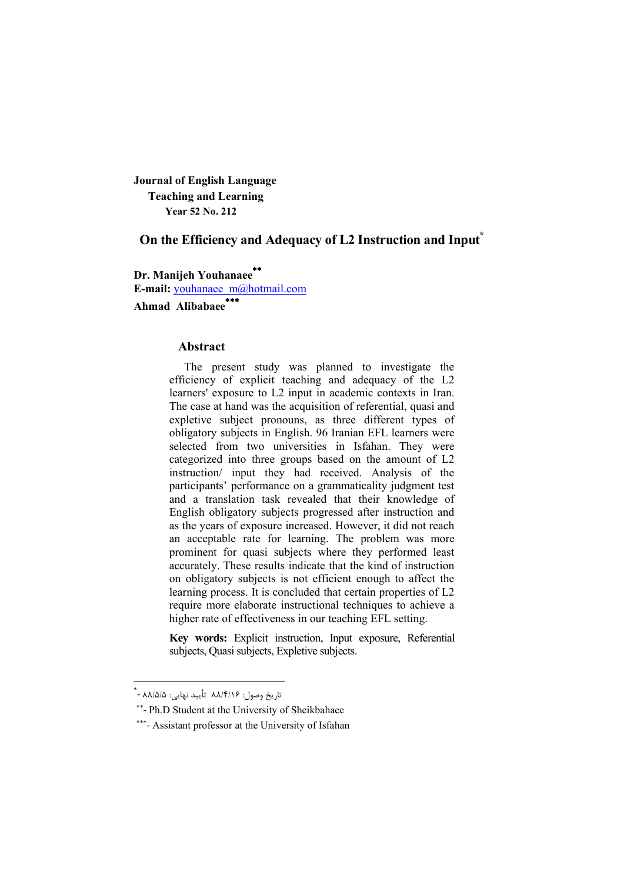**Journal of English Language Teaching and Learning Year 52 No. 212**

# **On the Efficiency and Adequacy of L2 Instruction and Input\***

**Dr. Manijeh Youhanaee E-mail:** youhanaee m@hotmail.com **Ahmad Alibabaee**

#### **Abstract**

The present study was planned to investigate the efficiency of explicit teaching and adequacy of the L2 learners' exposure to L2 input in academic contexts in Iran. The case at hand was the acquisition of referential, quasi and expletive subject pronouns, as three different types of obligatory subjects in English. 96 Iranian EFL learners were selected from two universities in Isfahan. They were categorized into three groups based on the amount of L2 instruction/ input they had received. Analysis of the participants' performance on a grammaticality judgment test and a translation task revealed that their knowledge of English obligatory subjects progressed after instruction and as the years of exposure increased. However, it did not reach an acceptable rate for learning. The problem was more prominent for quasi subjects where they performed least accurately. These results indicate that the kind of instruction on obligatory subjects is not efficient enough to affect the learning process. It is concluded that certain properties of L2 require more elaborate instructional techniques to achieve a higher rate of effectiveness in our teaching EFL setting.

**Key words:** Explicit instruction, Input exposure, Referential subjects, Quasi subjects, Expletive subjects.

<u>.</u>

تاریخ وصول: ۸۸/۴/۱۶ تأیید نهایی: ۸۸/۵/۵ - ٌ

<sup>\*\*-</sup> Ph.D Student at the University of Sheikbahaee

<sup>\*\*\*-</sup> Assistant professor at the University of Isfahan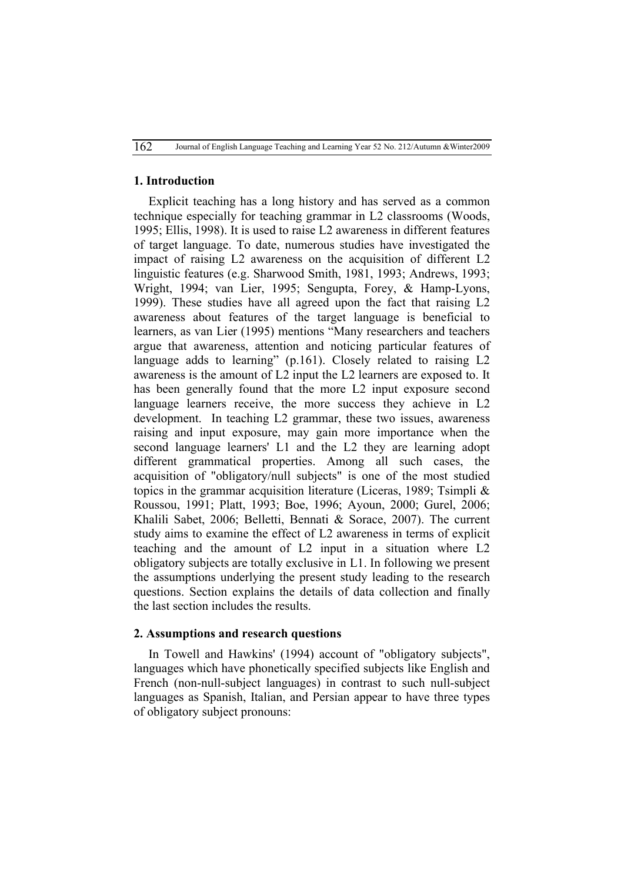## **1. Introduction**

Explicit teaching has a long history and has served as a common technique especially for teaching grammar in L2 classrooms (Woods, 1995; Ellis, 1998). It is used to raise L2 awareness in different features of target language. To date, numerous studies have investigated the impact of raising L2 awareness on the acquisition of different L2 linguistic features (e.g. Sharwood Smith, 1981, 1993; Andrews, 1993; Wright, 1994; van Lier, 1995; Sengupta, Forey, & Hamp-Lyons, 1999). These studies have all agreed upon the fact that raising L2 awareness about features of the target language is beneficial to learners, as van Lier (1995) mentions "Many researchers and teachers argue that awareness, attention and noticing particular features of language adds to learning" (p.161). Closely related to raising L2 awareness is the amount of L2 input the L2 learners are exposed to. It has been generally found that the more L2 input exposure second language learners receive, the more success they achieve in L<sub>2</sub> development. In teaching L2 grammar, these two issues, awareness raising and input exposure, may gain more importance when the second language learners' L1 and the L2 they are learning adopt different grammatical properties. Among all such cases, the acquisition of "obligatory/null subjects" is one of the most studied topics in the grammar acquisition literature (Liceras, 1989; Tsimpli & Roussou, 1991; Platt, 1993; Boe, 1996; Ayoun, 2000; Gurel, 2006; Khalili Sabet, 2006; Belletti, Bennati & Sorace, 2007). The current study aims to examine the effect of L2 awareness in terms of explicit teaching and the amount of L2 input in a situation where L2 obligatory subjects are totally exclusive in L1. In following we present the assumptions underlying the present study leading to the research questions. Section explains the details of data collection and finally the last section includes the results.

## **2. Assumptions and research questions**

In Towell and Hawkins' (1994) account of "obligatory subjects", languages which have phonetically specified subjects like English and French (non-null-subject languages) in contrast to such null-subject languages as Spanish, Italian, and Persian appear to have three types of obligatory subject pronouns: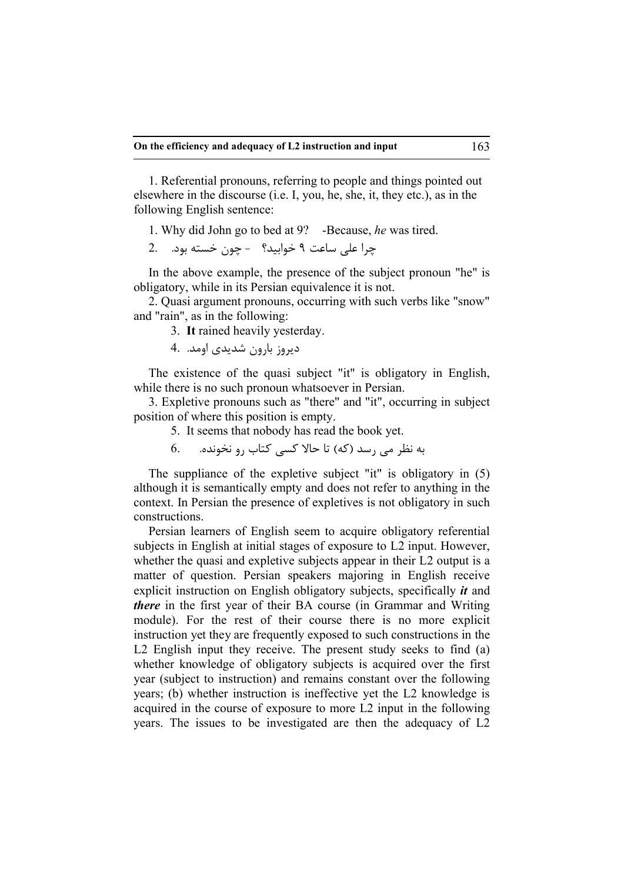1. Referential pronouns, referring to people and things pointed out elsewhere in the discourse (i.e. I, you, he, she, it, they etc.), as in the following English sentence:

1. Why did John go to bed at 9? -Because, *he* was tired.

چرا علی ساعت 9 خوابید؟ - چون خسته بود. 2.

In the above example, the presence of the subject pronoun "he" is obligatory, while in its Persian equivalence it is not.

2. Quasi argument pronouns, occurring with such verbs like "snow" and "rain", as in the following:

3.**It** rained heavily yesterday.

دیروز بارون شدیدي اومد. 4.

The existence of the quasi subject "it" is obligatory in English, while there is no such pronoun whatsoever in Persian.

3. Expletive pronouns such as "there" and "it", occurring in subject position of where this position is empty.

5. It seems that nobody has read the book yet.

به نظر می رسد (که) تا حالا کسی کتاب رو نخونده. 6.

The suppliance of the expletive subject "it" is obligatory in (5) although it is semantically empty and does not refer to anything in the context. In Persian the presence of expletives is not obligatory in such constructions.

Persian learners of English seem to acquire obligatory referential subjects in English at initial stages of exposure to L2 input. However, whether the quasi and expletive subjects appear in their L2 output is a matter of question. Persian speakers majoring in English receive explicit instruction on English obligatory subjects, specifically *it* and *there* in the first year of their BA course (in Grammar and Writing module). For the rest of their course there is no more explicit instruction yet they are frequently exposed to such constructions in the L2 English input they receive. The present study seeks to find (a) whether knowledge of obligatory subjects is acquired over the first year (subject to instruction) and remains constant over the following years; (b) whether instruction is ineffective yet the L2 knowledge is acquired in the course of exposure to more L2 input in the following years. The issues to be investigated are then the adequacy of L2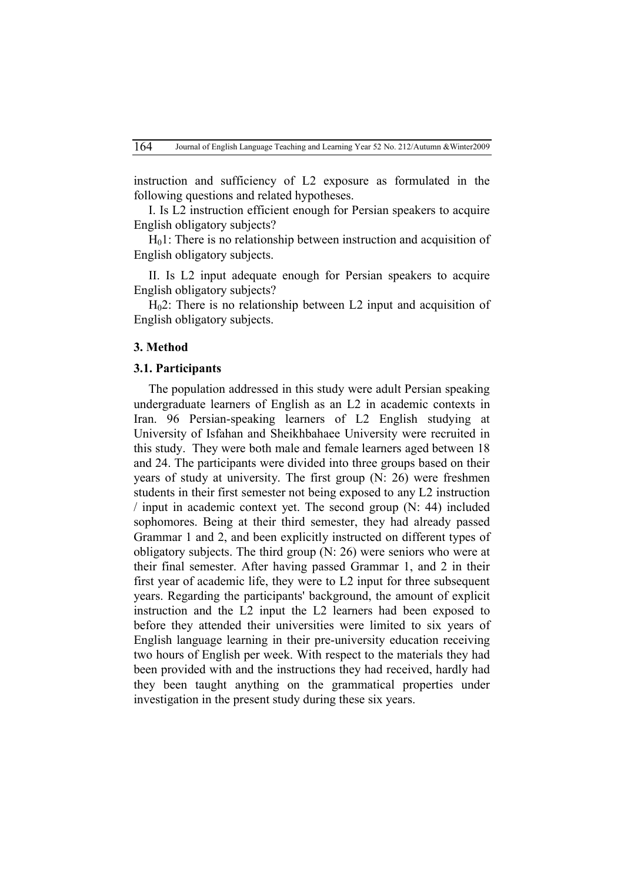instruction and sufficiency of L2 exposure as formulated in the following questions and related hypotheses.

I. Is L2 instruction efficient enough for Persian speakers to acquire English obligatory subjects?

 $H<sub>0</sub>1$ : There is no relationship between instruction and acquisition of English obligatory subjects.

II. Is L2 input adequate enough for Persian speakers to acquire English obligatory subjects?

H02: There is no relationship between L2 input and acquisition of English obligatory subjects.

#### **3. Method**

#### **3.1. Participants**

The population addressed in this study were adult Persian speaking undergraduate learners of English as an L2 in academic contexts in Iran. 96 Persian-speaking learners of L2 English studying at University of Isfahan and Sheikhbahaee University were recruited in this study. They were both male and female learners aged between 18 and 24. The participants were divided into three groups based on their years of study at university. The first group (N: 26) were freshmen students in their first semester not being exposed to any L2 instruction / input in academic context yet. The second group (N: 44) included sophomores. Being at their third semester, they had already passed Grammar 1 and 2, and been explicitly instructed on different types of obligatory subjects. The third group (N: 26) were seniors who were at their final semester. After having passed Grammar 1, and 2 in their first year of academic life, they were to L2 input for three subsequent years. Regarding the participants' background, the amount of explicit instruction and the L2 input the L2 learners had been exposed to before they attended their universities were limited to six years of English language learning in their pre-university education receiving two hours of English per week. With respect to the materials they had been provided with and the instructions they had received, hardly had they been taught anything on the grammatical properties under investigation in the present study during these six years.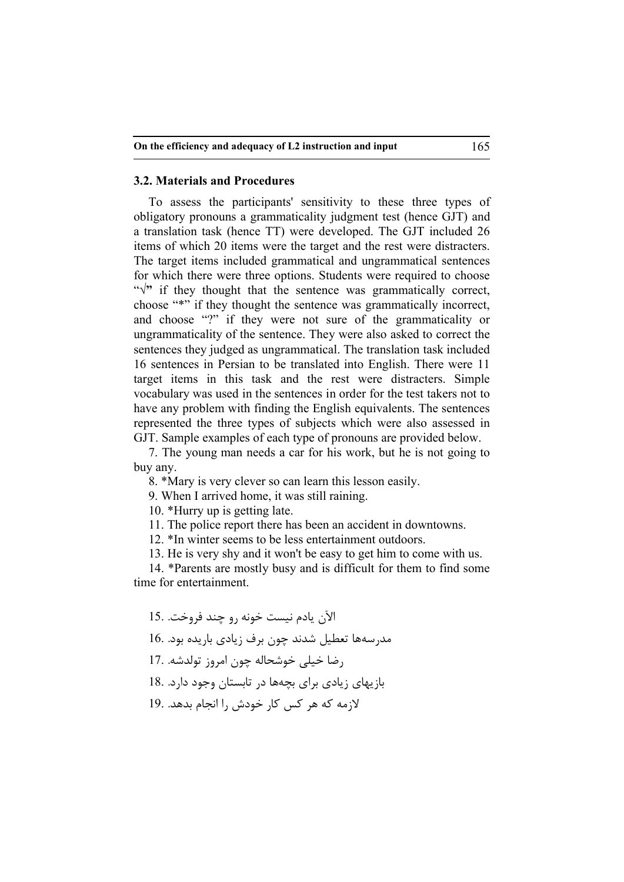## **3.2. Materials and Procedures**

To assess the participants' sensitivity to these three types of obligatory pronouns a grammaticality judgment test (hence GJT) and a translation task (hence TT) were developed. The GJT included 26 items of which 20 items were the target and the rest were distracters. The target items included grammatical and ungrammatical sentences for which there were three options. Students were required to choose "√**"** if they thought that the sentence was grammatically correct, choose "\*" if they thought the sentence was grammatically incorrect, and choose "?" if they were not sure of the grammaticality or ungrammaticality of the sentence. They were also asked to correct the sentences they judged as ungrammatical. The translation task included 16 sentences in Persian to be translated into English. There were 11 target items in this task and the rest were distracters. Simple vocabulary was used in the sentences in order for the test takers not to have any problem with finding the English equivalents. The sentences represented the three types of subjects which were also assessed in GJT. Sample examples of each type of pronouns are provided below.

7. The young man needs a car for his work, but he is not going to buy any.

8. \*Mary is very clever so can learn this lesson easily.

9. When I arrived home, it was still raining.

10. \*Hurry up is getting late.

11. The police report there has been an accident in downtowns.

12. \*In winter seems to be less entertainment outdoors.

13. He is very shy and it won't be easy to get him to come with us.

14. \*Parents are mostly busy and is difficult for them to find some time for entertainment.

الآن یادم نیست خونه رو چند فروخت. 15. مدرسهها تعطیل شدند چون برف زیادي باریده بود. 16. رضا خیلی خوشحاله چون امروز تولدشه. 17. بازیهاي زیادي براي بچهها در تابستان وجود دارد. 18. لازمه که هر کس کار خودش را انجام بدهد. 19.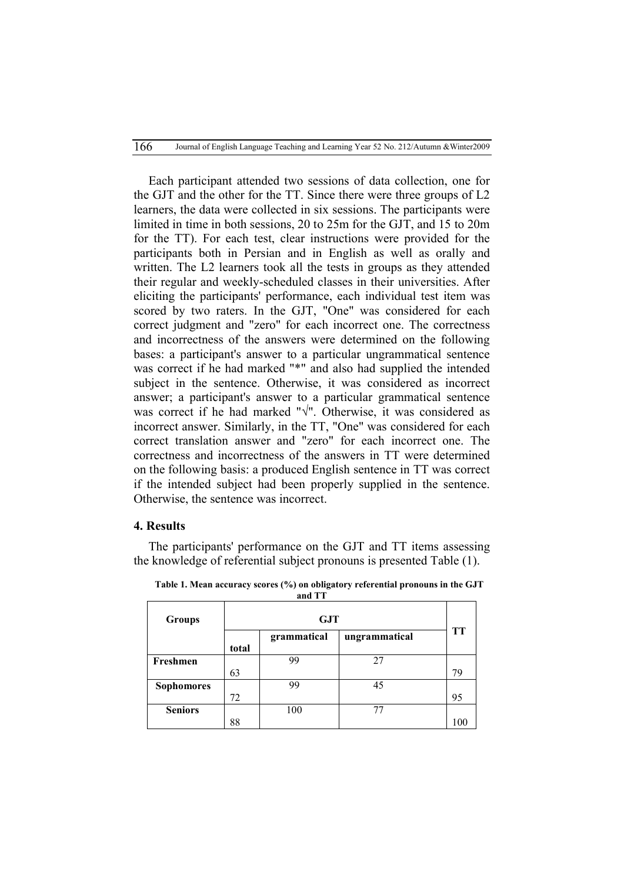Each participant attended two sessions of data collection, one for the GJT and the other for the TT. Since there were three groups of L2 learners, the data were collected in six sessions. The participants were limited in time in both sessions, 20 to 25m for the GJT, and 15 to 20m for the TT). For each test, clear instructions were provided for the participants both in Persian and in English as well as orally and written. The L2 learners took all the tests in groups as they attended their regular and weekly-scheduled classes in their universities. After eliciting the participants' performance, each individual test item was scored by two raters. In the GJT, "One" was considered for each correct judgment and "zero" for each incorrect one. The correctness and incorrectness of the answers were determined on the following bases: a participant's answer to a particular ungrammatical sentence was correct if he had marked "\*" and also had supplied the intended subject in the sentence. Otherwise, it was considered as incorrect answer; a participant's answer to a particular grammatical sentence was correct if he had marked "√". Otherwise, it was considered as incorrect answer. Similarly, in the TT, "One" was considered for each correct translation answer and "zero" for each incorrect one. The correctness and incorrectness of the answers in TT were determined on the following basis: a produced English sentence in TT was correct if the intended subject had been properly supplied in the sentence. Otherwise, the sentence was incorrect.

#### **4. Results**

The participants' performance on the GJT and TT items assessing the knowledge of referential subject pronouns is presented Table (1).

| <b>Groups</b>     | <b>GJT</b> |             |               |           |  |
|-------------------|------------|-------------|---------------|-----------|--|
|                   |            | grammatical | ungrammatical | <b>TT</b> |  |
|                   | total      |             |               |           |  |
| Freshmen          |            | 99          | 27            |           |  |
|                   | 63         |             |               | 79        |  |
| <b>Sophomores</b> |            | 99          | 45            |           |  |
|                   | 72         |             |               | 95        |  |
| <b>Seniors</b>    |            | 100         | 77            |           |  |
|                   | 88         |             |               | 100       |  |

**Table 1. Mean accuracy scores (%) on obligatory referential pronouns in the GJT and TT**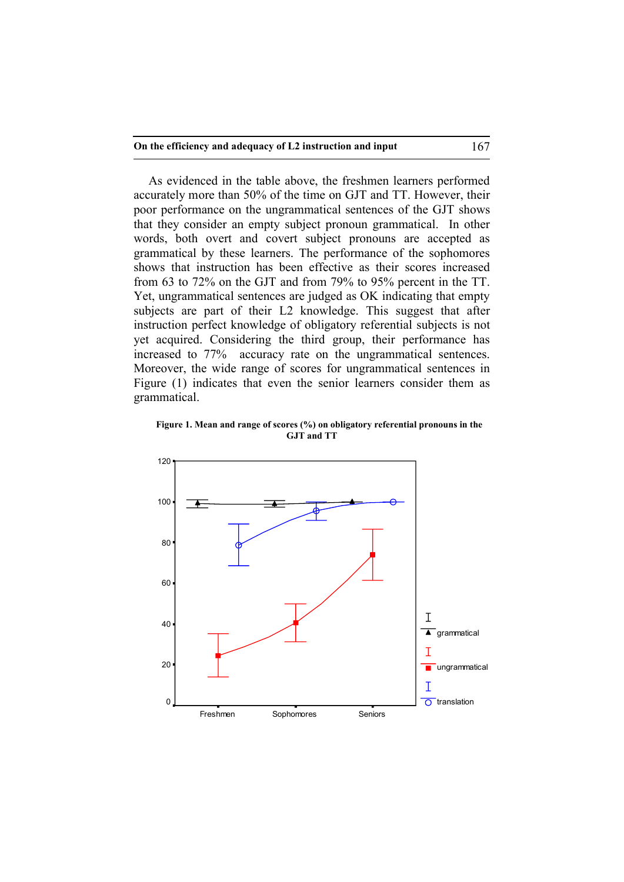As evidenced in the table above, the freshmen learners performed accurately more than 50% of the time on GJT and TT. However, their poor performance on the ungrammatical sentences of the GJT shows that they consider an empty subject pronoun grammatical. In other words, both overt and covert subject pronouns are accepted as grammatical by these learners. The performance of the sophomores shows that instruction has been effective as their scores increased from 63 to 72% on the GJT and from 79% to 95% percent in the TT. Yet, ungrammatical sentences are judged as OK indicating that empty subjects are part of their L2 knowledge. This suggest that after instruction perfect knowledge of obligatory referential subjects is not yet acquired. Considering the third group, their performance has increased to 77% accuracy rate on the ungrammatical sentences. Moreover, the wide range of scores for ungrammatical sentences in Figure (1) indicates that even the senior learners consider them as grammatical.



**Figure 1. Mean and range of scores (%) on obligatory referential pronouns in the GJT and TT**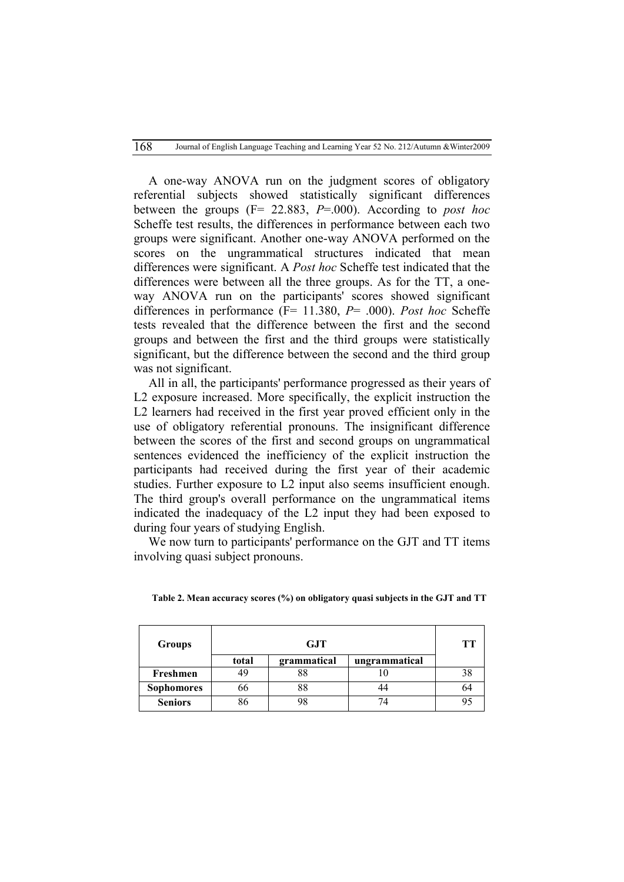A one-way ANOVA run on the judgment scores of obligatory referential subjects showed statistically significant differences between the groups (F= 22.883, *P*=.000). According to *post hoc* Scheffe test results, the differences in performance between each two groups were significant. Another one-way ANOVA performed on the scores on the ungrammatical structures indicated that mean differences were significant. A *Post hoc* Scheffe test indicated that the differences were between all the three groups. As for the TT, a oneway ANOVA run on the participants' scores showed significant differences in performance (F= 11.380, *P*= .000). *Post hoc* Scheffe tests revealed that the difference between the first and the second groups and between the first and the third groups were statistically significant, but the difference between the second and the third group was not significant.

All in all, the participants' performance progressed as their years of L2 exposure increased. More specifically, the explicit instruction the L2 learners had received in the first year proved efficient only in the use of obligatory referential pronouns. The insignificant difference between the scores of the first and second groups on ungrammatical sentences evidenced the inefficiency of the explicit instruction the participants had received during the first year of their academic studies. Further exposure to L2 input also seems insufficient enough. The third group's overall performance on the ungrammatical items indicated the inadequacy of the L2 input they had been exposed to during four years of studying English.

We now turn to participants' performance on the GJT and TT items involving quasi subject pronouns.

| <b>Groups</b>     |       | тт          |               |  |
|-------------------|-------|-------------|---------------|--|
|                   | total | grammatical | ungrammatical |  |
| Freshmen          |       |             |               |  |
| <b>Sophomores</b> | 00    | 88          |               |  |
| <b>Seniors</b>    | 86    |             |               |  |

**Table 2. Mean accuracy scores (%) on obligatory quasi subjects in the GJT and TT**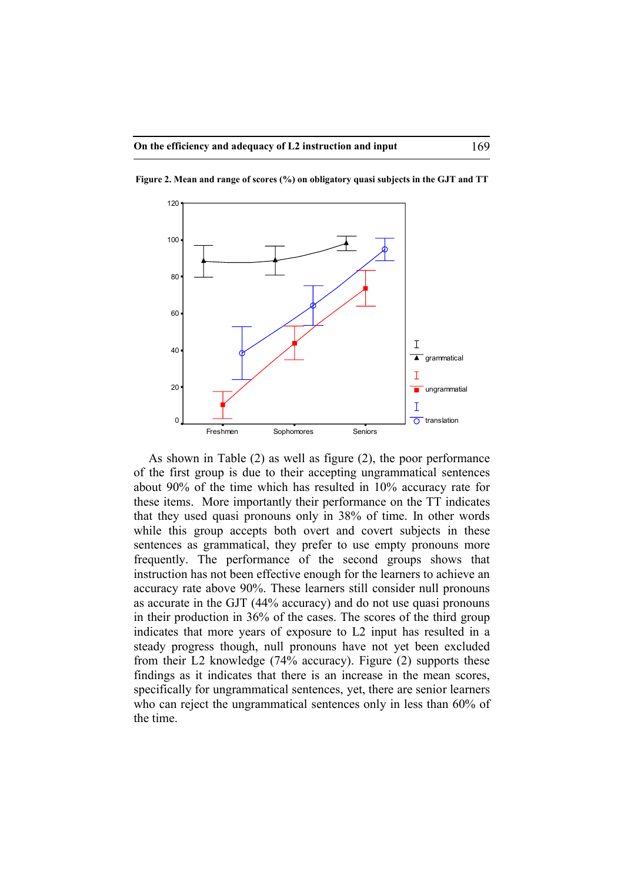

**Figure 2. Mean and range of scores (%) on obligatory quasi subjects in the GJT and TT**

As shown in Table (2) as well as figure (2), the poor performance of the first group is due to their accepting ungrammatical sentences about 90% of the time which has resulted in 10% accuracy rate for these items. More importantly their performance on the TT indicates that they used quasi pronouns only in 38% of time. In other words while this group accepts both overt and covert subjects in these sentences as grammatical, they prefer to use empty pronouns more frequently. The performance of the second groups shows that instruction has not been effective enough for the learners to achieve an accuracy rate above 90%. These learners still consider null pronouns as accurate in the GJT (44% accuracy) and do not use quasi pronouns in their production in 36% of the cases. The scores of the third group indicates that more years of exposure to L2 input has resulted in a steady progress though, null pronouns have not yet been excluded from their L2 knowledge (74% accuracy). Figure (2) supports these findings as it indicates that there is an increase in the mean scores, specifically for ungrammatical sentences, yet, there are senior learners who can reject the ungrammatical sentences only in less than 60% of the time.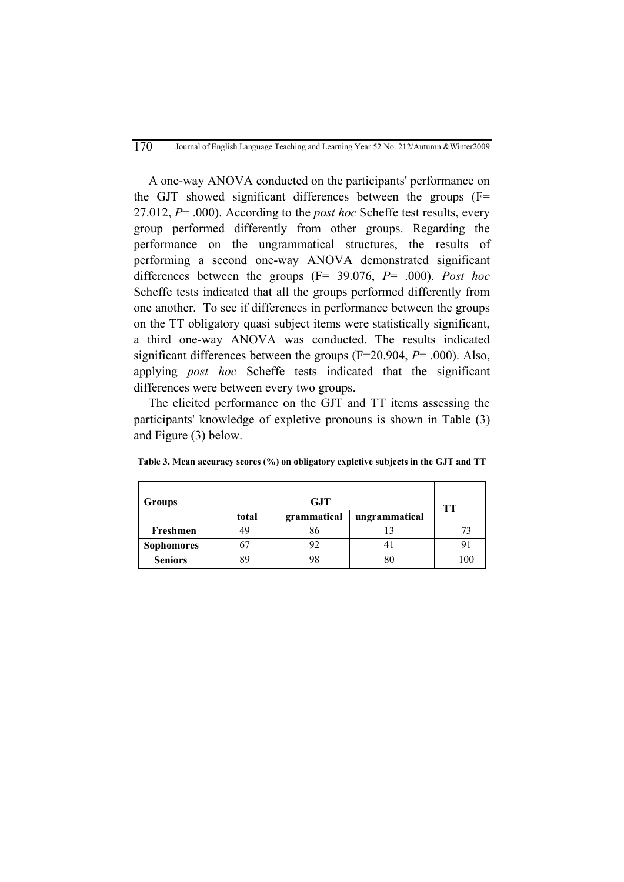A one-way ANOVA conducted on the participants' performance on the GJT showed significant differences between the groups (F= 27.012, *P*= .000). According to the *post hoc* Scheffe test results, every group performed differently from other groups. Regarding the performance on the ungrammatical structures, the results of performing a second one-way ANOVA demonstrated significant differences between the groups (F= 39.076, *P*= .000). *Post hoc* Scheffe tests indicated that all the groups performed differently from one another. To see if differences in performance between the groups on the TT obligatory quasi subject items were statistically significant, a third one-way ANOVA was conducted. The results indicated significant differences between the groups (F=20.904, *P*= .000). Also, applying *post hoc* Scheffe tests indicated that the significant differences were between every two groups.

The elicited performance on the GJT and TT items assessing the participants' knowledge of expletive pronouns is shown in Table (3) and Figure (3) below.

| <b>Groups</b>     |       | TТ          |               |     |
|-------------------|-------|-------------|---------------|-----|
|                   | total | grammatical | ungrammatical |     |
| Freshmen          |       | 86          |               |     |
| <b>Sophomores</b> |       | 92          |               |     |
| <b>Seniors</b>    |       | 98          |               | 100 |

**Table 3. Mean accuracy scores (%) on obligatory expletive subjects in the GJT and TT**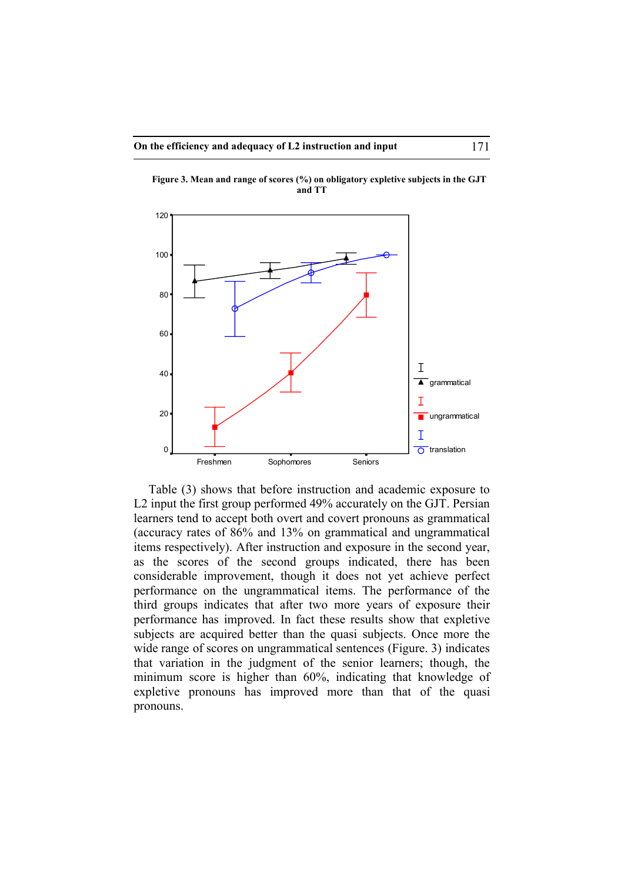

**Figure 3. Mean and range of scores (%) on obligatory expletive subjects in the GJT and TT**

Table (3) shows that before instruction and academic exposure to L2 input the first group performed 49% accurately on the GJT. Persian learners tend to accept both overt and covert pronouns as grammatical (accuracy rates of 86% and 13% on grammatical and ungrammatical items respectively). After instruction and exposure in the second year, as the scores of the second groups indicated, there has been considerable improvement, though it does not yet achieve perfect performance on the ungrammatical items. The performance of the third groups indicates that after two more years of exposure their performance has improved. In fact these results show that expletive subjects are acquired better than the quasi subjects. Once more the wide range of scores on ungrammatical sentences (Figure. 3) indicates that variation in the judgment of the senior learners; though, the minimum score is higher than 60%, indicating that knowledge of expletive pronouns has improved more than that of the quasi pronouns.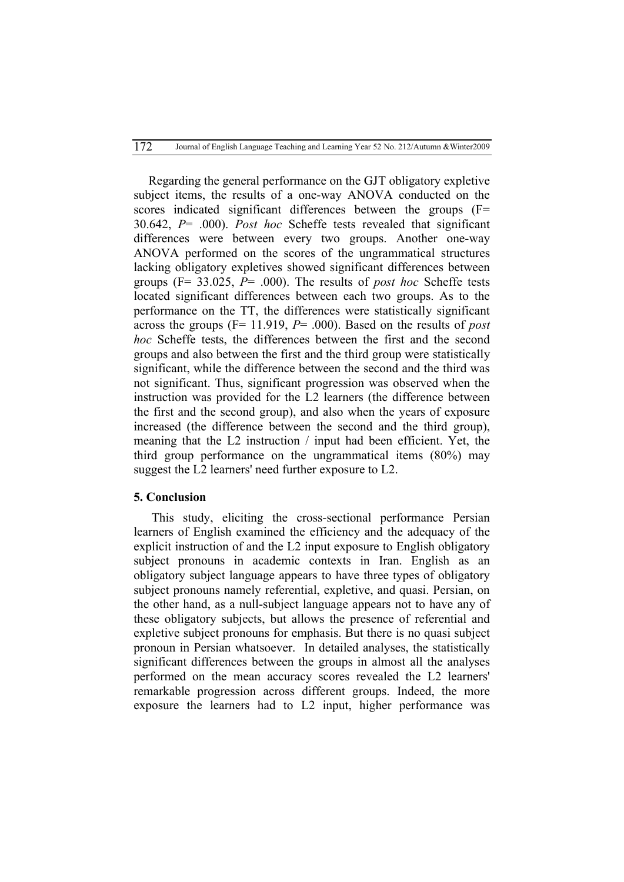Regarding the general performance on the GJT obligatory expletive subject items, the results of a one-way ANOVA conducted on the scores indicated significant differences between the groups (F= 30.642, *P*= .000). *Post hoc* Scheffe tests revealed that significant differences were between every two groups. Another one-way ANOVA performed on the scores of the ungrammatical structures lacking obligatory expletives showed significant differences between groups (F= 33.025, *P*= .000). The results of *post hoc* Scheffe tests located significant differences between each two groups. As to the performance on the TT, the differences were statistically significant across the groups (F= 11.919, *P*= .000). Based on the results of *post hoc* Scheffe tests, the differences between the first and the second groups and also between the first and the third group were statistically significant, while the difference between the second and the third was not significant. Thus, significant progression was observed when the instruction was provided for the L2 learners (the difference between the first and the second group), and also when the years of exposure increased (the difference between the second and the third group), meaning that the L2 instruction / input had been efficient. Yet, the third group performance on the ungrammatical items (80%) may suggest the L2 learners' need further exposure to L2.

### **5. Conclusion**

 This study, eliciting the cross-sectional performance Persian learners of English examined the efficiency and the adequacy of the explicit instruction of and the L2 input exposure to English obligatory subject pronouns in academic contexts in Iran. English as an obligatory subject language appears to have three types of obligatory subject pronouns namely referential, expletive, and quasi. Persian, on the other hand, as a null-subject language appears not to have any of these obligatory subjects, but allows the presence of referential and expletive subject pronouns for emphasis. But there is no quasi subject pronoun in Persian whatsoever. In detailed analyses, the statistically significant differences between the groups in almost all the analyses performed on the mean accuracy scores revealed the L2 learners' remarkable progression across different groups. Indeed, the more exposure the learners had to L2 input, higher performance was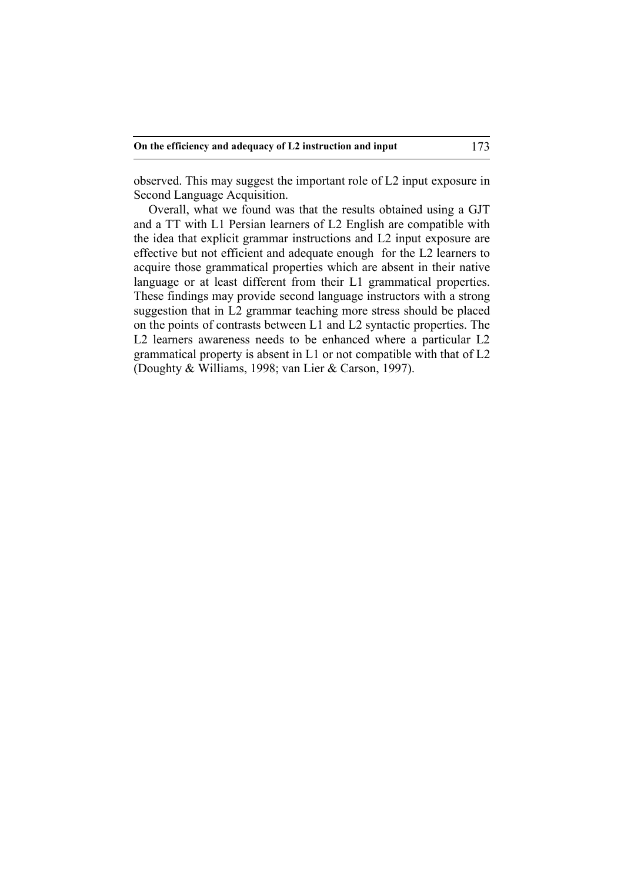observed. This may suggest the important role of L2 input exposure in Second Language Acquisition.

Overall, what we found was that the results obtained using a GJT and a TT with L1 Persian learners of L2 English are compatible with the idea that explicit grammar instructions and L2 input exposure are effective but not efficient and adequate enough for the L2 learners to acquire those grammatical properties which are absent in their native language or at least different from their L1 grammatical properties. These findings may provide second language instructors with a strong suggestion that in L2 grammar teaching more stress should be placed on the points of contrasts between L1 and L2 syntactic properties. The L2 learners awareness needs to be enhanced where a particular L2 grammatical property is absent in L1 or not compatible with that of L2 (Doughty & Williams, 1998; van Lier & Carson, 1997).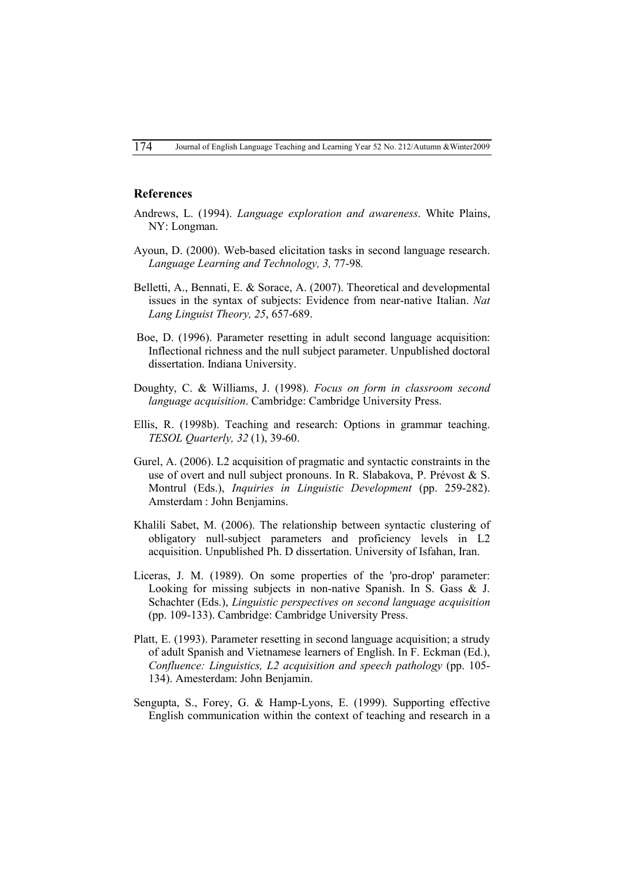#### **References**

- Andrews, L. (1994). *Language exploration and awareness*. White Plains, NY: Longman.
- Ayoun, D. (2000). Web-based elicitation tasks in second language research. *Language Learning and Technology, 3,* 77-98*.*
- Belletti, A., Bennati, E. & Sorace, A. (2007). Theoretical and developmental issues in the syntax of subjects: Evidence from near-native Italian. *Nat Lang Linguist Theory, 25*, 657-689.
- Boe, D. (1996). Parameter resetting in adult second language acquisition: Inflectional richness and the null subject parameter. Unpublished doctoral dissertation. Indiana University.
- Doughty, C. & Williams, J. (1998). *Focus on form in classroom second language acquisition*. Cambridge: Cambridge University Press.
- Ellis, R. (1998b). Teaching and research: Options in grammar teaching. *TESOL Quarterly, 32* (1), 39-60.
- Gurel, A. (2006). L2 acquisition of pragmatic and syntactic constraints in the use of overt and null subject pronouns. In R. Slabakova, P. Prévost & S. Montrul (Eds.), *Inquiries in Linguistic Development* (pp. 259-282). Amsterdam : John Benjamins.
- Khalili Sabet, M. (2006). The relationship between syntactic clustering of obligatory null-subject parameters and proficiency levels in L2 acquisition. Unpublished Ph. D dissertation. University of Isfahan, Iran.
- Liceras, J. M. (1989). On some properties of the 'pro-drop' parameter: Looking for missing subjects in non-native Spanish. In S. Gass & J. Schachter (Eds.), *Linguistic perspectives on second language acquisition* (pp. 109-133). Cambridge: Cambridge University Press.
- Platt, E. (1993). Parameter resetting in second language acquisition; a strudy of adult Spanish and Vietnamese learners of English. In F. Eckman (Ed.), *Confluence: Linguistics, L2 acquisition and speech pathology* (pp. 105- 134). Amesterdam: John Benjamin.
- Sengupta, S., Forey, G. & Hamp-Lyons, E. (1999). Supporting effective English communication within the context of teaching and research in a